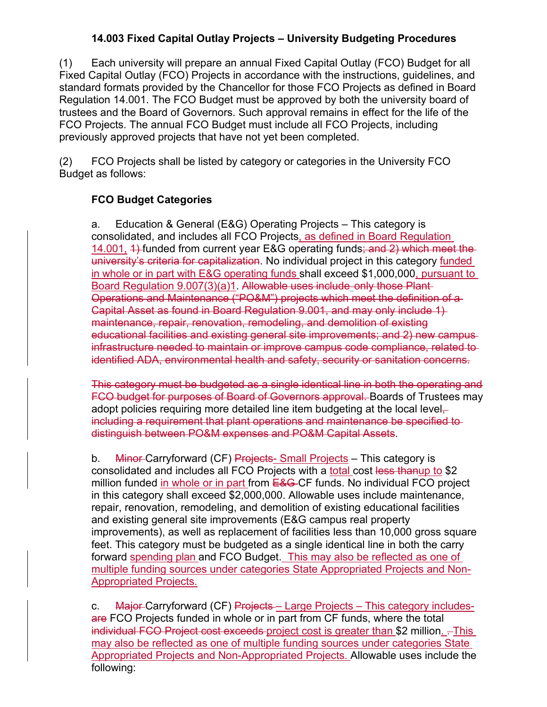## **14.003 Fixed Capital Outlay Projects – University Budgeting Procedures**

(1) Each university will prepare an annual Fixed Capital Outlay (FCO) Budget for all Fixed Capital Outlay (FCO) Projects in accordance with the instructions, guidelines, and standard formats provided by the Chancellor for those FCO Projects as defined in Board Regulation 14.001. The FCO Budget must be approved by both the university board of trustees and the Board of Governors. Such approval remains in effect for the life of the FCO Projects. The annual FCO Budget must include all FCO Projects, including previously approved projects that have not yet been completed.

(2) FCO Projects shall be listed by category or categories in the University FCO Budget as follows:

## **FCO Budget Categories**

a. Education & General (E&G) Operating Projects – This category is consolidated, and includes all FCO Projects, as defined in Board Regulation 14.001, 4) funded from current year E&G operating funds; and 2) which meet the university's criteria for capitalization. No individual project in this category funded in whole or in part with E&G operating funds shall exceed \$1,000,000, pursuant to Board Regulation 9.007(3)(a)1. Allowable uses include only those Plant Operations and Maintenance ("PO&M") projects which meet the definition of a Capital Asset as found in Board Regulation 9.001, and may only include 1) maintenance, repair, renovation, remodeling, and demolition of existing educational facilities and existing general site improvements; and 2) new campus infrastructure needed to maintain or improve campus code compliance, related to identified ADA, environmental health and safety, security or sanitation concerns.

This category must be budgeted as a single identical line in both the operating and FCO budget for purposes of Board of Governors approval. Boards of Trustees may adopt policies requiring more detailed line item budgeting at the local levelincluding a requirement that plant operations and maintenance be specified to distinguish between PO&M expenses and PO&M Capital Assets.

b. Minor-Carryforward (CF) Projects- Small Projects – This category is consolidated and includes all FCO Projects with a total cost less thanup to \$2 million funded in whole or in part from  $E$ &G-CF funds. No individual FCO project in this category shall exceed \$2,000,000. Allowable uses include maintenance, repair, renovation, remodeling, and demolition of existing educational facilities and existing general site improvements (E&G campus real property improvements), as well as replacement of facilities less than 10,000 gross square feet. This category must be budgeted as a single identical line in both the carry forward spending plan and FCO Budget. This may also be reflected as one of multiple funding sources under categories State Appropriated Projects and Non-Appropriated Projects.

c. Major-Carryforward (CF) Projects – Large Projects – This category includesare FCO Projects funded in whole or in part from CF funds, where the total individual FCO Project cost exceeds project cost is greater than \$2 million.  $-$ This may also be reflected as one of multiple funding sources under categories State Appropriated Projects and Non-Appropriated Projects. Allowable uses include the following: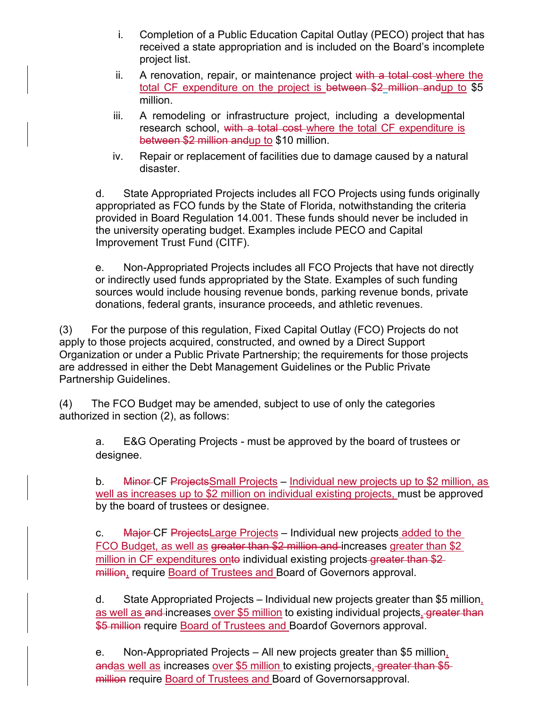- i. Completion of a Public Education Capital Outlay (PECO) project that has received a state appropriation and is included on the Board's incomplete project list.
- ii. A renovation, repair, or maintenance project with a total cost where the total CF expenditure on the project is between \$2 million andup to \$5 million.
- iii. A remodeling or infrastructure project, including a developmental research school, with a total cost where the total CF expenditure is between \$2 million andup to \$10 million.
- iv. Repair or replacement of facilities due to damage caused by a natural disaster.

d. State Appropriated Projects includes all FCO Projects using funds originally appropriated as FCO funds by the State of Florida, notwithstanding the criteria provided in Board Regulation 14.001. These funds should never be included in the university operating budget. Examples include PECO and Capital Improvement Trust Fund (CITF).

e. Non-Appropriated Projects includes all FCO Projects that have not directly or indirectly used funds appropriated by the State. Examples of such funding sources would include housing revenue bonds, parking revenue bonds, private donations, federal grants, insurance proceeds, and athletic revenues.

(3) For the purpose of this regulation, Fixed Capital Outlay (FCO) Projects do not apply to those projects acquired, constructed, and owned by a Direct Support Organization or under a Public Private Partnership; the requirements for those projects are addressed in either the Debt Management Guidelines or the Public Private Partnership Guidelines.

(4) The FCO Budget may be amended, subject to use of only the categories authorized in section (2), as follows:

a. E&G Operating Projects - must be approved by the board of trustees or designee.

b. Minor CF Projects Small Projects – Individual new projects up to \$2 million, as well as increases up to \$2 million on individual existing projects, must be approved by the board of trustees or designee.

c. Major CF ProjectsLarge Projects – Individual new projects added to the FCO Budget, as well as greater than \$2 million and increases greater than \$2 million in CF expenditures onto individual existing projects greater than \$2 million, require Board of Trustees and Board of Governors approval.

d. State Appropriated Projects – Individual new projects greater than \$5 million, as well as and increases over \$5 million to existing individual projects, greater than \$5 million require Board of Trustees and Board of Governors approval.

e. Non-Appropriated Projects – All new projects greater than \$5 million, andas well as increases over \$5 million to existing projects, greater than \$5 million require Board of Trustees and Board of Governors approval.